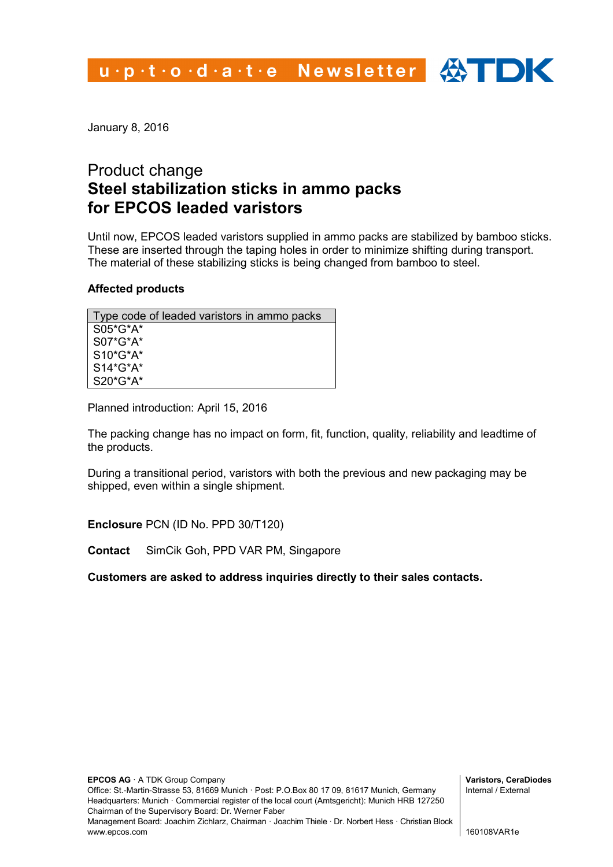u.p.t.o.d.a.t.e Newsletter  $\bigoplus$  DK

January 8, 2016

## Product change **Steel stabilization sticks in ammo packs for EPCOS leaded varistors**

Until now, EPCOS leaded varistors supplied in ammo packs are stabilized by bamboo sticks. These are inserted through the taping holes in order to minimize shifting during transport. The material of these stabilizing sticks is being changed from bamboo to steel.

## **Affected products**

| Type code of leaded varistors in ammo packs |  |  |  |  |  |
|---------------------------------------------|--|--|--|--|--|
| $S05*G*A*$                                  |  |  |  |  |  |
| S07*G*A*                                    |  |  |  |  |  |
| $S10*G*A*$                                  |  |  |  |  |  |
| $S14*G*A*$                                  |  |  |  |  |  |
| $S20*G*A*$                                  |  |  |  |  |  |

Planned introduction: April 15, 2016

The packing change has no impact on form, fit, function, quality, reliability and leadtime of the products.

During a transitional period, varistors with both the previous and new packaging may be shipped, even within a single shipment.

**Enclosure** PCN (ID No. PPD 30/T120)

**Contact** SimCik Goh, PPD VAR PM, Singapore

**Customers are asked to address inquiries directly to their sales contacts.**

**Varistors, CeraDiodes** Internal / External